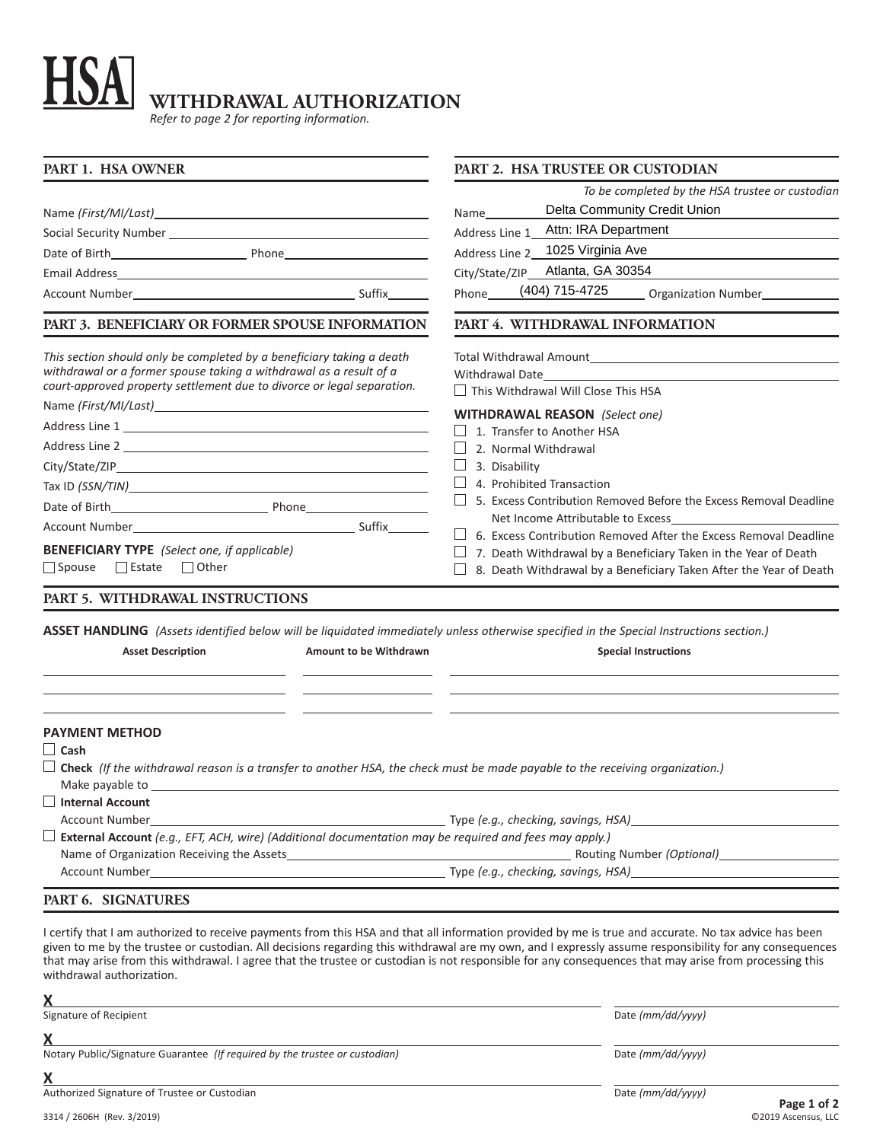## H **WITHDRAWAL AUTHORIZATION**

*Refer to page 2 for reporting information.*

| PART 1. HSA OWNER                                                                                                                                                                                                     | PART 2. HSA TRUSTEE OR CUSTODIAN                                                                                                                                                                                                                                                                                             |  |  |
|-----------------------------------------------------------------------------------------------------------------------------------------------------------------------------------------------------------------------|------------------------------------------------------------------------------------------------------------------------------------------------------------------------------------------------------------------------------------------------------------------------------------------------------------------------------|--|--|
|                                                                                                                                                                                                                       | To be completed by the HSA trustee or custodian                                                                                                                                                                                                                                                                              |  |  |
|                                                                                                                                                                                                                       | Delta Community Credit Union<br>Name                                                                                                                                                                                                                                                                                         |  |  |
|                                                                                                                                                                                                                       | Attn: IRA Department<br>Address Line 1                                                                                                                                                                                                                                                                                       |  |  |
|                                                                                                                                                                                                                       | 1025 Virginia Ave<br>Address Line 2                                                                                                                                                                                                                                                                                          |  |  |
|                                                                                                                                                                                                                       | Atlanta, GA 30354<br>City/State/ZIP_                                                                                                                                                                                                                                                                                         |  |  |
|                                                                                                                                                                                                                       | (404) 715-4725 Organization Number<br>Phone                                                                                                                                                                                                                                                                                  |  |  |
| PART 3. BENEFICIARY OR FORMER SPOUSE INFORMATION                                                                                                                                                                      | PART 4. WITHDRAWAL INFORMATION                                                                                                                                                                                                                                                                                               |  |  |
| This section should only be completed by a beneficiary taking a death<br>withdrawal or a former spouse taking a withdrawal as a result of a<br>court-approved property settlement due to divorce or legal separation. | Total Withdrawal Amount <b>Exercise 2018</b><br>Withdrawal Date and the state of the state of the state of the state of the state of the state of the state of the state of the state of the state of the state of the state of the state of the state of the state of the sta<br>$\Box$ This Withdrawal Will Close This HSA |  |  |
|                                                                                                                                                                                                                       |                                                                                                                                                                                                                                                                                                                              |  |  |
|                                                                                                                                                                                                                       | <b>WITHDRAWAL REASON</b> (Select one)<br>1. Transfer to Another HSA                                                                                                                                                                                                                                                          |  |  |
|                                                                                                                                                                                                                       | 2. Normal Withdrawal<br>3. Disability<br>4. Prohibited Transaction<br>5. Excess Contribution Removed Before the Excess Removal Deadline                                                                                                                                                                                      |  |  |
|                                                                                                                                                                                                                       |                                                                                                                                                                                                                                                                                                                              |  |  |
|                                                                                                                                                                                                                       |                                                                                                                                                                                                                                                                                                                              |  |  |
|                                                                                                                                                                                                                       |                                                                                                                                                                                                                                                                                                                              |  |  |
|                                                                                                                                                                                                                       | Net Income Attributable to Excess                                                                                                                                                                                                                                                                                            |  |  |
| <b>BENEFICIARY TYPE</b> (Select one, if applicable)<br>□ Spouse □ Estate □ Other                                                                                                                                      | 6. Excess Contribution Removed After the Excess Removal Deadline<br>7. Death Withdrawal by a Beneficiary Taken in the Year of Death<br>8. Death Withdrawal by a Beneficiary Taken After the Year of Death                                                                                                                    |  |  |
| PART 5. WITHDRAWAL INSTRUCTIONS                                                                                                                                                                                       |                                                                                                                                                                                                                                                                                                                              |  |  |
| ASSET HANDLING (Assets identified below will be liquidated immediately unless otherwise specified in the Special Instructions section.)                                                                               |                                                                                                                                                                                                                                                                                                                              |  |  |
| <b>Asset Description</b><br>Amount to be Withdrawn                                                                                                                                                                    | <b>Special Instructions</b>                                                                                                                                                                                                                                                                                                  |  |  |
| <b>PAYMENT METHOD</b><br>$\Box$ Cash<br>$\Box$ Check (If the withdrawal reason is a transfer to another HSA, the check must be made payable to the receiving organization.)                                           |                                                                                                                                                                                                                                                                                                                              |  |  |
| Make payable to                                                                                                                                                                                                       |                                                                                                                                                                                                                                                                                                                              |  |  |
| Internal Account<br><b>Account Number</b>                                                                                                                                                                             |                                                                                                                                                                                                                                                                                                                              |  |  |
| $\Box$ External Account (e.g., EFT, ACH, wire) (Additional documentation may be required and fees may apply.)                                                                                                         |                                                                                                                                                                                                                                                                                                                              |  |  |
|                                                                                                                                                                                                                       |                                                                                                                                                                                                                                                                                                                              |  |  |
|                                                                                                                                                                                                                       | Account Number <b>Example 20</b> and the state of the Type (e.g., checking, savings, HSA)                                                                                                                                                                                                                                    |  |  |
|                                                                                                                                                                                                                       |                                                                                                                                                                                                                                                                                                                              |  |  |
| PART 6. SIGNATURES                                                                                                                                                                                                    |                                                                                                                                                                                                                                                                                                                              |  |  |

given to me by the trustee or custodian. All decisions regarding this withdrawal are my own, and I expressly assume responsibility for any consequences that may arise from this withdrawal. I agree that the trustee or custodian is not responsible for any consequences that may arise from processing this withdrawal authorization.

**X** Signature of Recipient Date *(mm/dd/yyyy)*

**X**

Notary Public/Signature Guarantee *(If required by the trustee or custodian)* Date *(mm/dd/yyyy)* Date *(mm/dd/yyyy)* 

**X**

Authorized Signature of Trustee or Custodian **Date** *(mm/dd/yyyy)* Date *(mm/dd/yyyy)*